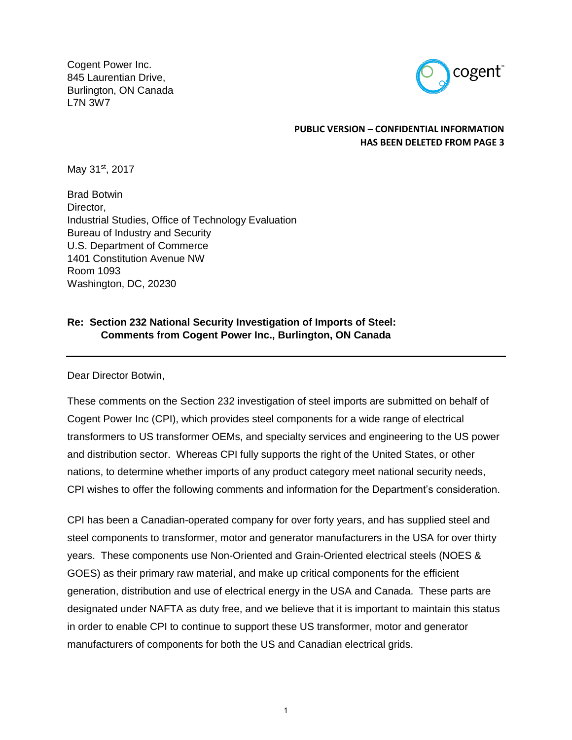Cogent Power Inc. 845 Laurentian Drive, Burlington, ON Canada L7N 3W7



## **PUBLIC VERSION – CONFIDENTIAL INFORMATION HAS BEEN DELETED FROM PAGE 3**

May 31<sup>st</sup>, 2017

Brad Botwin Director. Industrial Studies, Office of Technology Evaluation Bureau of Industry and Security U.S. Department of Commerce 1401 Constitution Avenue NW Room 1093 Washington, DC, 20230

# **Re: Section 232 National Security Investigation of Imports of Steel: Comments from Cogent Power Inc., Burlington, ON Canada**

Dear Director Botwin,

These comments on the Section 232 investigation of steel imports are submitted on behalf of Cogent Power Inc (CPI), which provides steel components for a wide range of electrical transformers to US transformer OEMs, and specialty services and engineering to the US power and distribution sector. Whereas CPI fully supports the right of the United States, or other nations, to determine whether imports of any product category meet national security needs, CPI wishes to offer the following comments and information for the Department's consideration.

CPI has been a Canadian-operated company for over forty years, and has supplied steel and steel components to transformer, motor and generator manufacturers in the USA for over thirty years. These components use Non-Oriented and Grain-Oriented electrical steels (NOES & GOES) as their primary raw material, and make up critical components for the efficient generation, distribution and use of electrical energy in the USA and Canada. These parts are designated under NAFTA as duty free, and we believe that it is important to maintain this status in order to enable CPI to continue to support these US transformer, motor and generator manufacturers of components for both the US and Canadian electrical grids.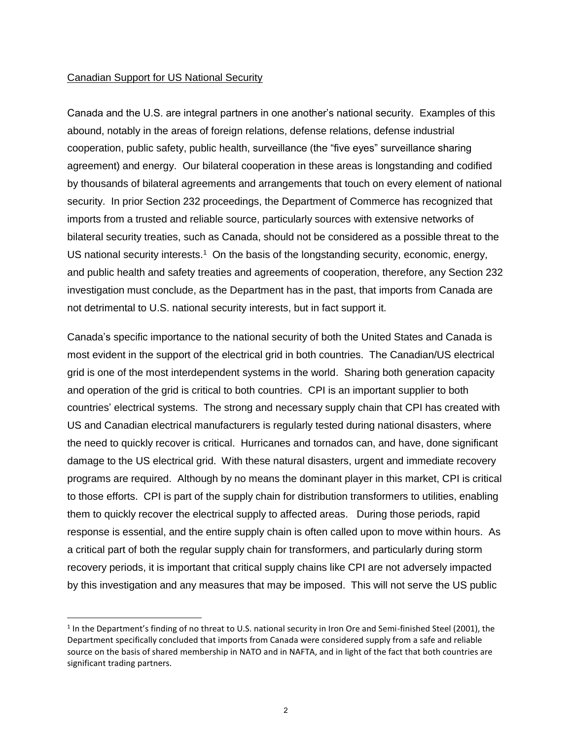#### Canadian Support for US National Security

Canada and the U.S. are integral partners in one another's national security. Examples of this abound, notably in the areas of foreign relations, defense relations, defense industrial cooperation, public safety, public health, surveillance (the "five eyes" surveillance sharing agreement) and energy. Our bilateral cooperation in these areas is longstanding and codified by thousands of bilateral agreements and arrangements that touch on every element of national security. In prior Section 232 proceedings, the Department of Commerce has recognized that imports from a trusted and reliable source, particularly sources with extensive networks of bilateral security treaties, such as Canada, should not be considered as a possible threat to the US national security interests.<sup>1</sup> On the basis of the longstanding security, economic, energy, and public health and safety treaties and agreements of cooperation, therefore, any Section 232 investigation must conclude, as the Department has in the past, that imports from Canada are not detrimental to U.S. national security interests, but in fact support it.

Canada's specific importance to the national security of both the United States and Canada is most evident in the support of the electrical grid in both countries. The Canadian/US electrical grid is one of the most interdependent systems in the world. Sharing both generation capacity and operation of the grid is critical to both countries. CPI is an important supplier to both countries' electrical systems. The strong and necessary supply chain that CPI has created with US and Canadian electrical manufacturers is regularly tested during national disasters, where the need to quickly recover is critical. Hurricanes and tornados can, and have, done significant damage to the US electrical grid. With these natural disasters, urgent and immediate recovery programs are required. Although by no means the dominant player in this market, CPI is critical to those efforts. CPI is part of the supply chain for distribution transformers to utilities, enabling them to quickly recover the electrical supply to affected areas. During those periods, rapid response is essential, and the entire supply chain is often called upon to move within hours. As a critical part of both the regular supply chain for transformers, and particularly during storm recovery periods, it is important that critical supply chains like CPI are not adversely impacted by this investigation and any measures that may be imposed. This will not serve the US public

<sup>&</sup>lt;sup>1</sup> In the Department's finding of no threat to U.S. national security in Iron Ore and Semi-finished Steel (2001), the Department specifically concluded that imports from Canada were considered supply from a safe and reliable source on the basis of shared membership in NATO and in NAFTA, and in light of the fact that both countries are significant trading partners.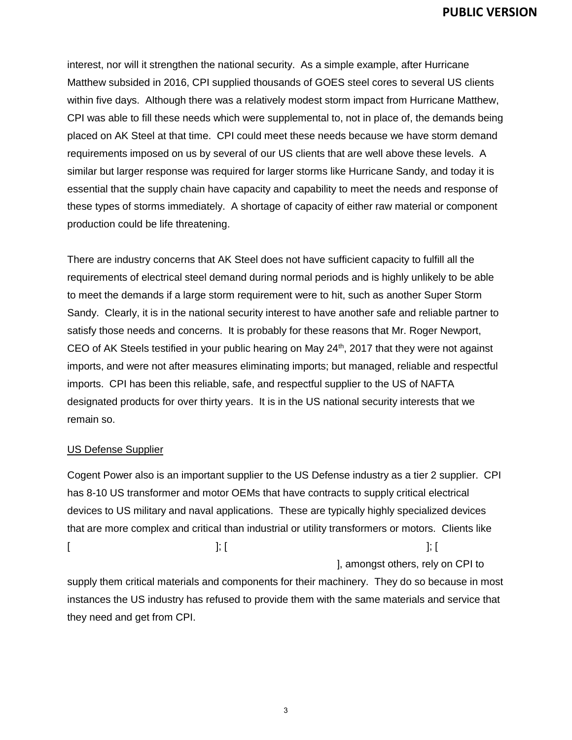interest, nor will it strengthen the national security. As a simple example, after Hurricane Matthew subsided in 2016, CPI supplied thousands of GOES steel cores to several US clients within five days. Although there was a relatively modest storm impact from Hurricane Matthew, CPI was able to fill these needs which were supplemental to, not in place of, the demands being placed on AK Steel at that time. CPI could meet these needs because we have storm demand requirements imposed on us by several of our US clients that are well above these levels. A similar but larger response was required for larger storms like Hurricane Sandy, and today it is essential that the supply chain have capacity and capability to meet the needs and response of these types of storms immediately. A shortage of capacity of either raw material or component production could be life threatening.

There are industry concerns that AK Steel does not have sufficient capacity to fulfill all the requirements of electrical steel demand during normal periods and is highly unlikely to be able to meet the demands if a large storm requirement were to hit, such as another Super Storm Sandy. Clearly, it is in the national security interest to have another safe and reliable partner to satisfy those needs and concerns. It is probably for these reasons that Mr. Roger Newport, CEO of AK Steels testified in your public hearing on May  $24<sup>th</sup>$ , 2017 that they were not against imports, and were not after measures eliminating imports; but managed, reliable and respectful imports. CPI has been this reliable, safe, and respectful supplier to the US of NAFTA designated products for over thirty years. It is in the US national security interests that we remain so.

## US Defense Supplier

Cogent Power also is an important supplier to the US Defense industry as a tier 2 supplier. CPI has 8-10 US transformer and motor OEMs that have contracts to supply critical electrical devices to US military and naval applications. These are typically highly specialized devices that are more complex and critical than industrial or utility transformers or motors. Clients like  $[$   $]$ ; [  $]$  ]; [  $]$ ], amongst others, rely on CPI to

supply them critical materials and components for their machinery. They do so because in most instances the US industry has refused to provide them with the same materials and service that they need and get from CPI.

3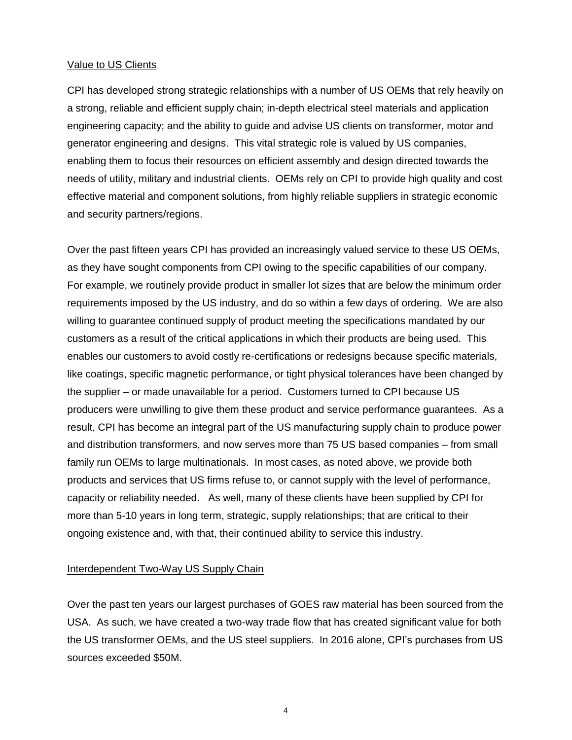## Value to US Clients

CPI has developed strong strategic relationships with a number of US OEMs that rely heavily on a strong, reliable and efficient supply chain; in-depth electrical steel materials and application engineering capacity; and the ability to guide and advise US clients on transformer, motor and generator engineering and designs. This vital strategic role is valued by US companies, enabling them to focus their resources on efficient assembly and design directed towards the needs of utility, military and industrial clients. OEMs rely on CPI to provide high quality and cost effective material and component solutions, from highly reliable suppliers in strategic economic and security partners/regions.

Over the past fifteen years CPI has provided an increasingly valued service to these US OEMs, as they have sought components from CPI owing to the specific capabilities of our company. For example, we routinely provide product in smaller lot sizes that are below the minimum order requirements imposed by the US industry, and do so within a few days of ordering. We are also willing to guarantee continued supply of product meeting the specifications mandated by our customers as a result of the critical applications in which their products are being used. This enables our customers to avoid costly re-certifications or redesigns because specific materials, like coatings, specific magnetic performance, or tight physical tolerances have been changed by the supplier – or made unavailable for a period. Customers turned to CPI because US producers were unwilling to give them these product and service performance guarantees. As a result, CPI has become an integral part of the US manufacturing supply chain to produce power and distribution transformers, and now serves more than 75 US based companies – from small family run OEMs to large multinationals. In most cases, as noted above, we provide both products and services that US firms refuse to, or cannot supply with the level of performance, capacity or reliability needed. As well, many of these clients have been supplied by CPI for more than 5-10 years in long term, strategic, supply relationships; that are critical to their ongoing existence and, with that, their continued ability to service this industry.

## Interdependent Two-Way US Supply Chain

Over the past ten years our largest purchases of GOES raw material has been sourced from the USA. As such, we have created a two-way trade flow that has created significant value for both the US transformer OEMs, and the US steel suppliers. In 2016 alone, CPI's purchases from US sources exceeded \$50M.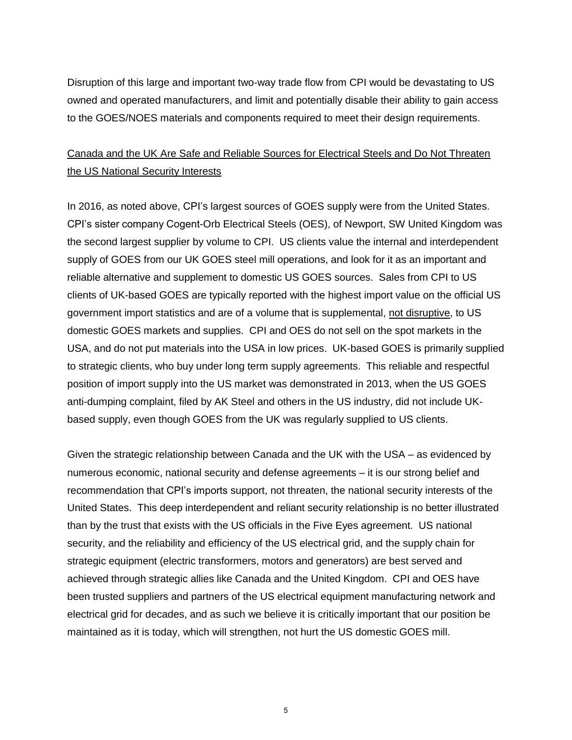Disruption of this large and important two-way trade flow from CPI would be devastating to US owned and operated manufacturers, and limit and potentially disable their ability to gain access to the GOES/NOES materials and components required to meet their design requirements.

# Canada and the UK Are Safe and Reliable Sources for Electrical Steels and Do Not Threaten the US National Security Interests

In 2016, as noted above, CPI's largest sources of GOES supply were from the United States. CPI's sister company Cogent-Orb Electrical Steels (OES), of Newport, SW United Kingdom was the second largest supplier by volume to CPI. US clients value the internal and interdependent supply of GOES from our UK GOES steel mill operations, and look for it as an important and reliable alternative and supplement to domestic US GOES sources. Sales from CPI to US clients of UK-based GOES are typically reported with the highest import value on the official US government import statistics and are of a volume that is supplemental, not disruptive, to US domestic GOES markets and supplies. CPI and OES do not sell on the spot markets in the USA, and do not put materials into the USA in low prices. UK-based GOES is primarily supplied to strategic clients, who buy under long term supply agreements. This reliable and respectful position of import supply into the US market was demonstrated in 2013, when the US GOES anti-dumping complaint, filed by AK Steel and others in the US industry, did not include UKbased supply, even though GOES from the UK was regularly supplied to US clients.

Given the strategic relationship between Canada and the UK with the USA – as evidenced by numerous economic, national security and defense agreements – it is our strong belief and recommendation that CPI's imports support, not threaten, the national security interests of the United States. This deep interdependent and reliant security relationship is no better illustrated than by the trust that exists with the US officials in the Five Eyes agreement. US national security, and the reliability and efficiency of the US electrical grid, and the supply chain for strategic equipment (electric transformers, motors and generators) are best served and achieved through strategic allies like Canada and the United Kingdom. CPI and OES have been trusted suppliers and partners of the US electrical equipment manufacturing network and electrical grid for decades, and as such we believe it is critically important that our position be maintained as it is today, which will strengthen, not hurt the US domestic GOES mill.